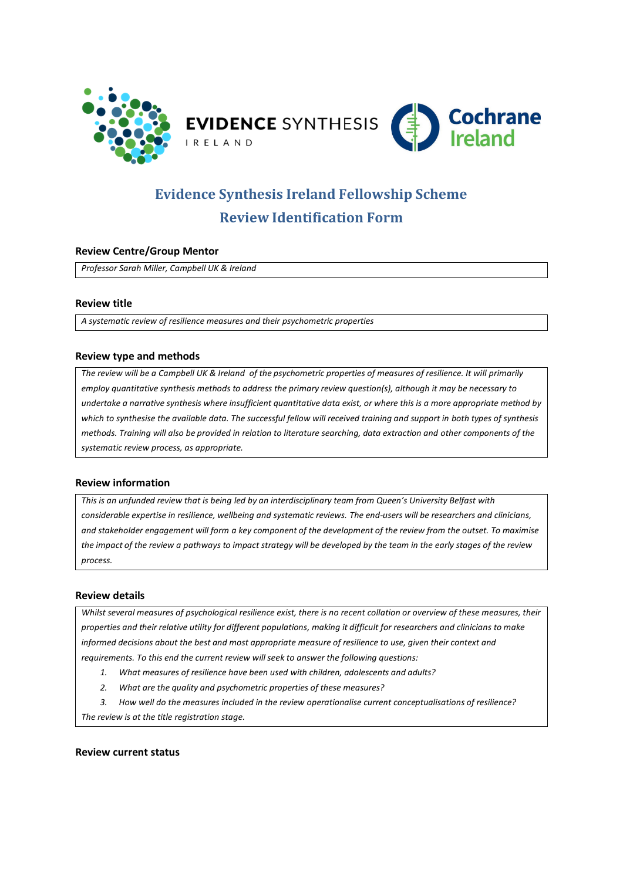

# **Evidence Synthesis Ireland Fellowship Scheme Review Identification Form**

# **Review Centre/Group Mentor**

*Professor Sarah Miller, Campbell UK & Ireland* 

# **Review title**

*A systematic review of resilience measures and their psychometric properties*

# **Review type and methods**

*The review will be a Campbell UK & Ireland of the psychometric properties of measures of resilience. It will primarily employ quantitative synthesis methods to address the primary review question(s), although it may be necessary to undertake a narrative synthesis where insufficient quantitative data exist, or where this is a more appropriate method by which to synthesise the available data. The successful fellow will received training and support in both types of synthesis methods. Training will also be provided in relation to literature searching, data extraction and other components of the systematic review process, as appropriate.*

# **Review information**

*This is an unfunded review that is being led by an interdisciplinary team from Queen's University Belfast with considerable expertise in resilience, wellbeing and systematic reviews. The end-users will be researchers and clinicians, and stakeholder engagement will form a key component of the development of the review from the outset. To maximise the impact of the review a pathways to impact strategy will be developed by the team in the early stages of the review process.*

### **Review details**

*Whilst several measures of psychological resilience exist, there is no recent collation or overview of these measures, their properties and their relative utility for different populations, making it difficult for researchers and clinicians to make informed decisions about the best and most appropriate measure of resilience to use, given their context and requirements. To this end the current review will seek to answer the following questions:*

- *1. What measures of resilience have been used with children, adolescents and adults?*
- *2. What are the quality and psychometric properties of these measures?*

*3. How well do the measures included in the review operationalise current conceptualisations of resilience? The review is at the title registration stage.*

### **Review current status**